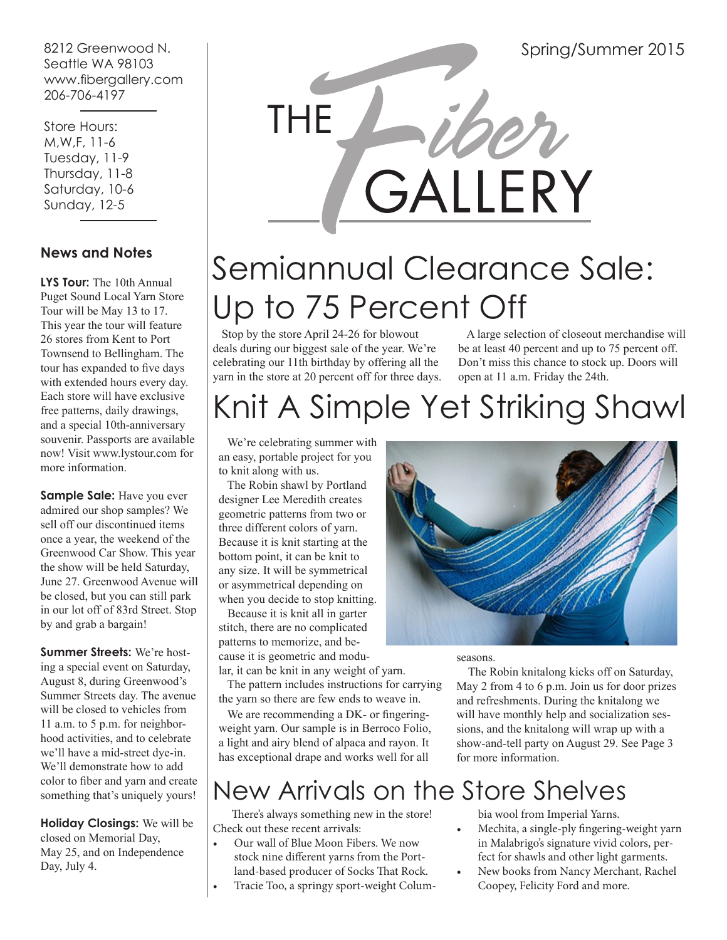8212 Greenwood N. Seattle WA 98103 www.fibergallery.com 206-706-4197

 Store Hours: M,W,F, 11-6 Tuesday, 11-9 Thursday, 11-8 Saturday, 10-6 Sunday, 12-5

### **News and Notes**

**LYS Tour:** The 10th Annual Puget Sound Local Yarn Store Tour will be May 13 to 17. This year the tour will feature 26 stores from Kent to Port Townsend to Bellingham. The tour has expanded to five days with extended hours every day. Each store will have exclusive free patterns, daily drawings, and a special 10th-anniversary souvenir. Passports are available now! Visit www.lystour.com for more information.

**Sample Sale:** Have you ever admired our shop samples? We sell off our discontinued items once a year, the weekend of the Greenwood Car Show. This year the show will be held Saturday, June 27. Greenwood Avenue will be closed, but you can still park in our lot off of 83rd Street. Stop by and grab a bargain!

**Summer Streets:** We're hosting a special event on Saturday, August 8, during Greenwood's Summer Streets day. The avenue will be closed to vehicles from 11 a.m. to 5 p.m. for neighborhood activities, and to celebrate we'll have a mid-street dye-in. We'll demonstrate how to add color to fiber and yarn and create something that's uniquely yours!

**Holiday Closings:** We will be closed on Memorial Day, May 25, and on Independence Day, July 4.



# Semiannual Clearance Sale: Up to 75 Percent Off

 Stop by the store April 24-26 for blowout deals during our biggest sale of the year. We're celebrating our 11th birthday by offering all the yarn in the store at 20 percent off for three days.

 A large selection of closeout merchandise will be at least 40 percent and up to 75 percent off. Don't miss this chance to stock up. Doors will open at 11 a.m. Friday the 24th.

# Knit A Simple Yet Striking Shawl

 We're celebrating summer with an easy, portable project for you to knit along with us.

 The Robin shawl by Portland designer Lee Meredith creates geometric patterns from two or three different colors of yarn. Because it is knit starting at the bottom point, it can be knit to any size. It will be symmetrical or asymmetrical depending on when you decide to stop knitting.

 Because it is knit all in garter stitch, there are no complicated patterns to memorize, and because it is geometric and modular, it can be knit in any weight of yarn.

 The pattern includes instructions for carrying the yarn so there are few ends to weave in.

 We are recommending a DK- or fingeringweight yarn. Our sample is in Berroco Folio, a light and airy blend of alpaca and rayon. It has exceptional drape and works well for all



seasons.

 The Robin knitalong kicks off on Saturday, May 2 from 4 to 6 p.m. Join us for door prizes and refreshments. During the knitalong we will have monthly help and socialization sessions, and the knitalong will wrap up with a show-and-tell party on August 29. See Page 3 for more information.

# New Arrivals on the Store Shelves

 There's always something new in the store! Check out these recent arrivals:

- Our wall of Blue Moon Fibers. We now stock nine different yarns from the Portland-based producer of Socks That Rock.
- Tracie Too, a springy sport-weight Colum-

bia wool from Imperial Yarns.

- Mechita, a single-ply fingering-weight yarn in Malabrigo's signature vivid colors, perfect for shawls and other light garments.
- New books from Nancy Merchant, Rachel Coopey, Felicity Ford and more.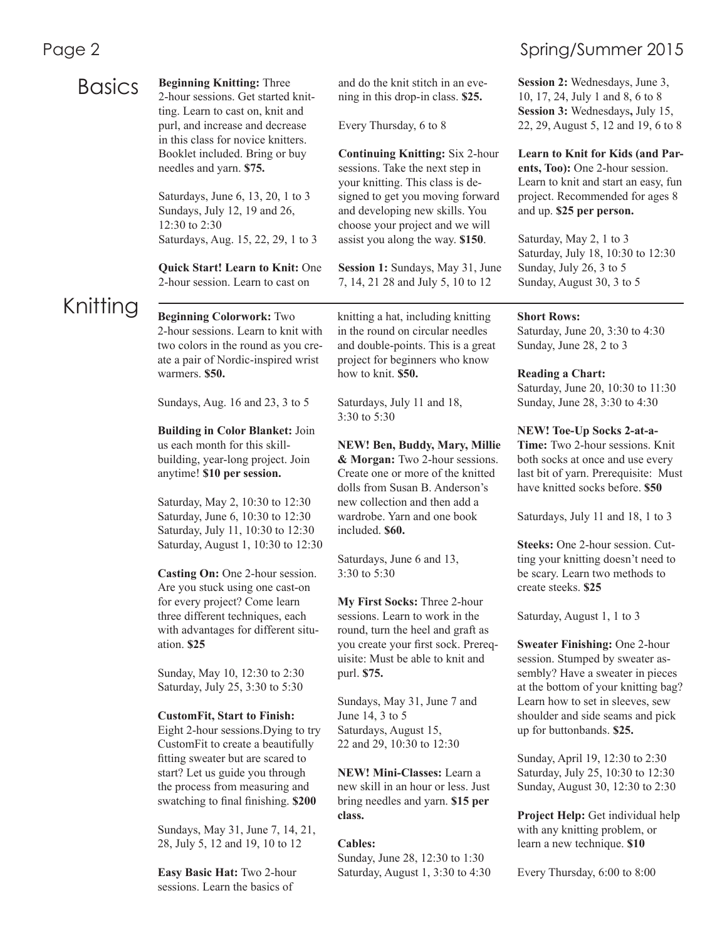### **Basics**

**Beginning Knitting:** Three 2-hour sessions. Get started knitting. Learn to cast on, knit and purl, and increase and decrease in this class for novice knitters. Booklet included. Bring or buy needles and yarn. **\$75.**

Saturdays, June 6, 13, 20, 1 to 3 Sundays, July 12, 19 and 26, 12:30 to 2:30 Saturdays, Aug. 15, 22, 29, 1 to 3

**Quick Start! Learn to Knit:** One 2-hour session. Learn to cast on

## Knitting

**Beginning Colorwork:** Two 2-hour sessions. Learn to knit with two colors in the round as you create a pair of Nordic-inspired wrist warmers. **\$50.**

Sundays, Aug. 16 and 23, 3 to 5

**Building in Color Blanket:** Join us each month for this skillbuilding, year-long project. Join anytime! **\$10 per session.**

Saturday, May 2, 10:30 to 12:30 Saturday, June 6, 10:30 to 12:30 Saturday, July 11, 10:30 to 12:30 Saturday, August 1, 10:30 to 12:30

**Casting On:** One 2-hour session. Are you stuck using one cast-on for every project? Come learn three different techniques, each with advantages for different situation. **\$25**

Sunday, May 10, 12:30 to 2:30 Saturday, July 25, 3:30 to 5:30

#### **CustomFit, Start to Finish:**

Eight 2-hour sessions.Dying to try CustomFit to create a beautifully fitting sweater but are scared to start? Let us guide you through the process from measuring and swatching to final finishing. **\$200**

Sundays, May 31, June 7, 14, 21, 28, July 5, 12 and 19, 10 to 12

**Easy Basic Hat:** Two 2-hour sessions. Learn the basics of

and do the knit stitch in an evening in this drop-in class. **\$25.** 

Every Thursday, 6 to 8

**Continuing Knitting:** Six 2-hour sessions. Take the next step in your knitting. This class is designed to get you moving forward and developing new skills. You choose your project and we will assist you along the way. **\$150**.

**Session 1:** Sundays, May 31, June 7, 14, 21 28 and July 5, 10 to 12

knitting a hat, including knitting in the round on circular needles and double-points. This is a great project for beginners who know how to knit. **\$50.**

Saturdays, July 11 and 18, 3:30 to 5:30

**NEW! Ben, Buddy, Mary, Millie & Morgan:** Two 2-hour sessions. Create one or more of the knitted dolls from Susan B. Anderson's new collection and then add a wardrobe. Yarn and one book included. **\$60.**

Saturdays, June 6 and 13, 3:30 to 5:30

**My First Socks:** Three 2-hour sessions. Learn to work in the round, turn the heel and graft as you create your first sock. Prerequisite: Must be able to knit and purl. **\$75.**

Sundays, May 31, June 7 and June 14, 3 to 5 Saturdays, August 15, 22 and 29, 10:30 to 12:30

**NEW! Mini-Classes:** Learn a new skill in an hour or less. Just bring needles and yarn. **\$15 per class.**

#### **Cables:**

Sunday, June 28, 12:30 to 1:30 Saturday, August 1, 3:30 to 4:30

### Page 2 Spring/Summer 2015

**Session 2:** Wednesdays, June 3, 10, 17, 24, July 1 and 8, 6 to 8 **Session 3:** Wednesdays**,** July 15, 22, 29, August 5, 12 and 19, 6 to 8

**Learn to Knit for Kids (and Parents, Too):** One 2-hour session. Learn to knit and start an easy, fun project. Recommended for ages 8 and up. **\$25 per person.**

Saturday, May 2, 1 to 3 Saturday, July 18, 10:30 to 12:30 Sunday, July 26, 3 to 5 Sunday, August 30, 3 to 5

#### **Short Rows:**

Saturday, June 20, 3:30 to 4:30 Sunday, June 28, 2 to 3

**Reading a Chart:** Saturday, June 20, 10:30 to 11:30 Sunday, June 28, 3:30 to 4:30

**NEW! Toe-Up Socks 2-at-a-Time:** Two 2-hour sessions. Knit both socks at once and use every last bit of yarn. Prerequisite: Must have knitted socks before. **\$50**

Saturdays, July 11 and 18, 1 to 3

**Steeks:** One 2-hour session. Cutting your knitting doesn't need to be scary. Learn two methods to create steeks. **\$25**

Saturday, August 1, 1 to 3

**Sweater Finishing:** One 2-hour session. Stumped by sweater assembly? Have a sweater in pieces at the bottom of your knitting bag? Learn how to set in sleeves, sew shoulder and side seams and pick up for buttonbands. **\$25.**

Sunday, April 19, 12:30 to 2:30 Saturday, July 25, 10:30 to 12:30 Sunday, August 30, 12:30 to 2:30

**Project Help:** Get individual help with any knitting problem, or learn a new technique. **\$10**

Every Thursday, 6:00 to 8:00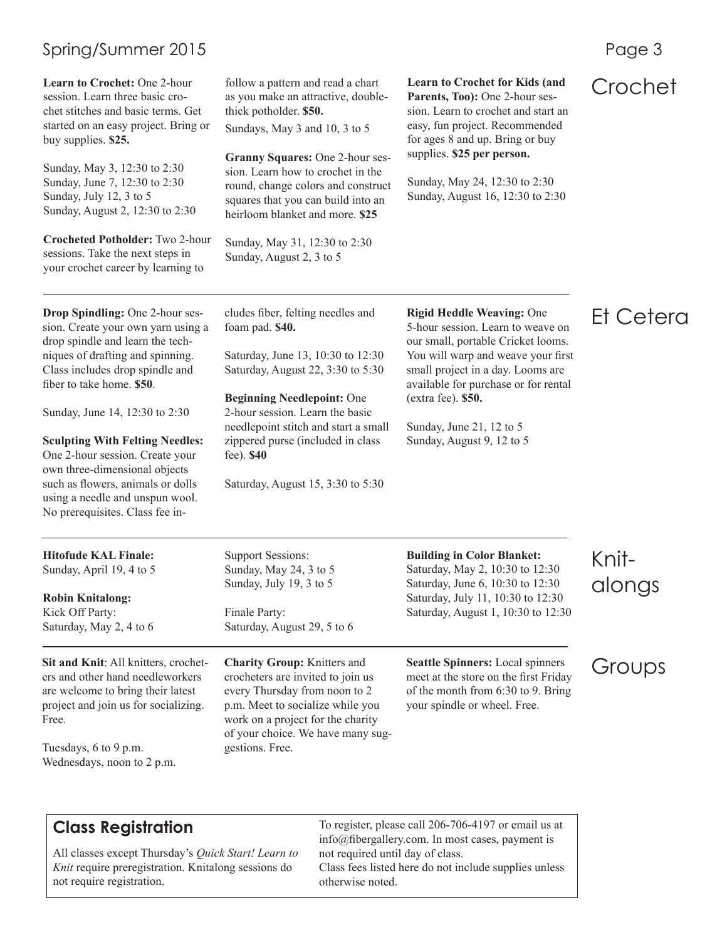### Spring/Summer 2015 **Page 3**

Learn to Crochet: One 2-hour follow a pattern and read a chart Learn to Crochet for Kids (and **Crochet Crochet C**rochet **Crochet C**rochet for Kids (and **Crochet C**rochet for Kids (and **Crochet C**rochet for Sectio session. Learn three basic crochet stitches and basic terms. Get started on an easy project. Bring or buy supplies. **\$25.**

Sunday, May 3, 12:30 to 2:30 Sunday, June 7, 12:30 to 2:30 Sunday, July 12, 3 to 5 Sunday, August 2, 12:30 to 2:30

**Crocheted Potholder:** Two 2-hour sessions. Take the next steps in your crochet career by learning to

**Drop Spindling:** One 2-hour session. Create your own yarn using a drop spindle and learn the techniques of drafting and spinning. Class includes drop spindle and fiber to take home. **\$50**.

Sunday, June 14, 12:30 to 2:30

**Sculpting With Felting Needles:**  One 2-hour session. Create your own three-dimensional objects such as flowers, animals or dolls using a needle and unspun wool. No prerequisites. Class fee in-

**Hitofude KAL Finale:** Sunday, April 19, 4 to 5

**Robin Knitalong:**  Kick Off Party: Saturday, May 2, 4 to 6

**Sit and Knit**: All knitters, crocheters and other hand needleworkers are welcome to bring their latest project and join us for socializing. Free.

Tuesdays, 6 to 9 p.m. Wednesdays, noon to 2 p.m. follow a pattern and read a chart as you make an attractive, doublethick potholder. **\$50.**

Sundays, May 3 and 10, 3 to 5

**Granny Squares:** One 2-hour session. Learn how to crochet in the round, change colors and construct squares that you can build into an heirloom blanket and more. **\$25**

Sunday, May 31, 12:30 to 2:30 Sunday, August 2, 3 to 5

cludes fiber, felting needles and foam pad. **\$40.**

Saturday, June 13, 10:30 to 12:30 Saturday, August 22, 3:30 to 5:30

**Beginning Needlepoint:** One 2-hour session. Learn the basic needlepoint stitch and start a small zippered purse (included in class fee). **\$40**

Saturday, August 15, 3:30 to 5:30

Support Sessions: Sunday, May 24, 3 to 5 Sunday, July 19, 3 to 5

Saturday, August 29, 5 to 6

**Charity Group:** Knitters and crocheters are invited to join us every Thursday from noon to 2 p.m. Meet to socialize while you work on a project for the charity of your choice. We have many sug-

Finale Party:

gestions. Free.

**Rigid Heddle Weaving:** One 5-hour session. Learn to weave on our small, portable Cricket looms. You will warp and weave your first small project in a day. Looms are available for purchase or for rental (extra fee). **\$50.**

Parents, Too): One 2-hour session. Learn to crochet and start an easy, fun project. Recommended for ages 8 and up. Bring or buy supplies. **\$25 per person.**

Sunday, May 24, 12:30 to 2:30 Sunday, August 16, 12:30 to 2:30

Sunday, June 21, 12 to 5 Sunday, August 9, 12 to 5

## Et Cetera

#### **Building in Color Blanket:** Saturday, May 2, 10:30 to 12:30 Saturday, June 6, 10:30 to 12:30 Saturday, July 11, 10:30 to 12:30 Saturday, August 1, 10:30 to 12:30

Knitalongs

**Seattle Spinners:** Local spinners meet at the store on the first Friday of the month from 6:30 to 9. Bring your spindle or wheel. Free.

Groups

**Class Registration**

All classes except Thursday's *Quick Start! Learn to Knit* require preregistration. Knitalong sessions do not require registration.

To register, please call 206-706-4197 or email us at info@fibergallery.com. In most cases, payment is not required until day of class. Class fees listed here do not include supplies unless otherwise noted.